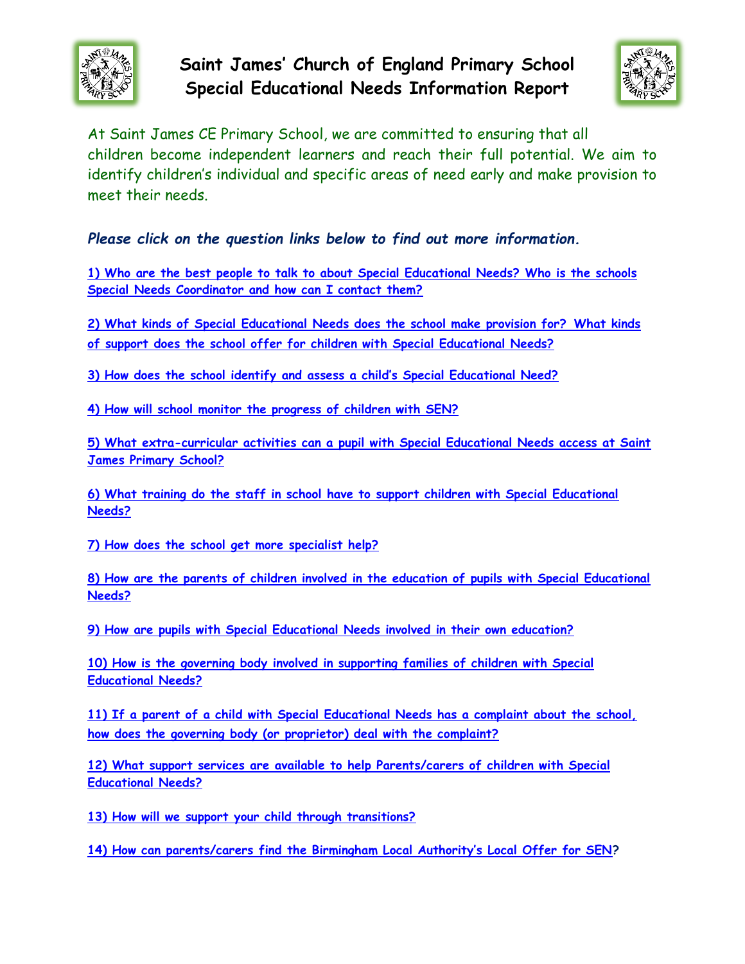

**Saint James' Church of England Primary School Special Educational Needs Information Report**



<span id="page-0-0"></span>At Saint James CE Primary School, we are committed to ensuring that all children become independent learners and reach their full potential. We aim to identify children's individual and specific areas of need early and make provision to meet their needs.

*Please click on the question links below to find out more information.*

**[1\) Who are the best people to talk to about Special Educational Needs? Who is the schools](#page-1-0)  [Special Needs Coordinator and how can I contact them?](#page-1-0)**

**[2\) What kinds of Special Educational Needs does the school make provision for?](#page-2-0) What kinds [of support does the school offer for children with Special Educational Needs?](#page-2-0)**

**[3\) How does the school identify and assess a child's Special Educational Need?](#page-5-0)**

**[4\) How will school monitor the progress of children with SEN?](#page-6-0)**

**[5\) What extra-curricular activities can a pupil with Special Educational Needs access at Saint](#page-7-0)  [James Primary School?](#page-7-0)**

**[6\) What training do the staff in school have to support children with Special Educational](#page-7-1)  [Needs?](#page-7-1)**

**[7\) How does the school get more specialist help?](#page-8-0)**

**[8\) How are the parents of children involved in the education of pupils with Special Educational](#page-9-0)  [Needs?](#page-9-0)**

**[9\) How are pupils with Special Educational Needs involved in their own education?](#page-10-0)**

**[10\) How is the governing body involved in supporting families of children with Special](#page-10-1)  [Educational Needs?](#page-10-1)**

**[11\) If a parent of a child with Special Educational Needs has a complaint about the school,](#page-11-0)  [how does the governing body \(or proprietor\) deal with the complaint?](#page-11-0)**

**[12\) What support services are available to help Parents/carers of children with Special](#page-12-0)  [Educational Needs?](#page-12-0)**

**[13\) How will we support your child through transitions?](#page-13-0)**

**[14\) How can parents/carers find the Birmingham Local Authority's Local Offer for SEN](#page-13-1)?**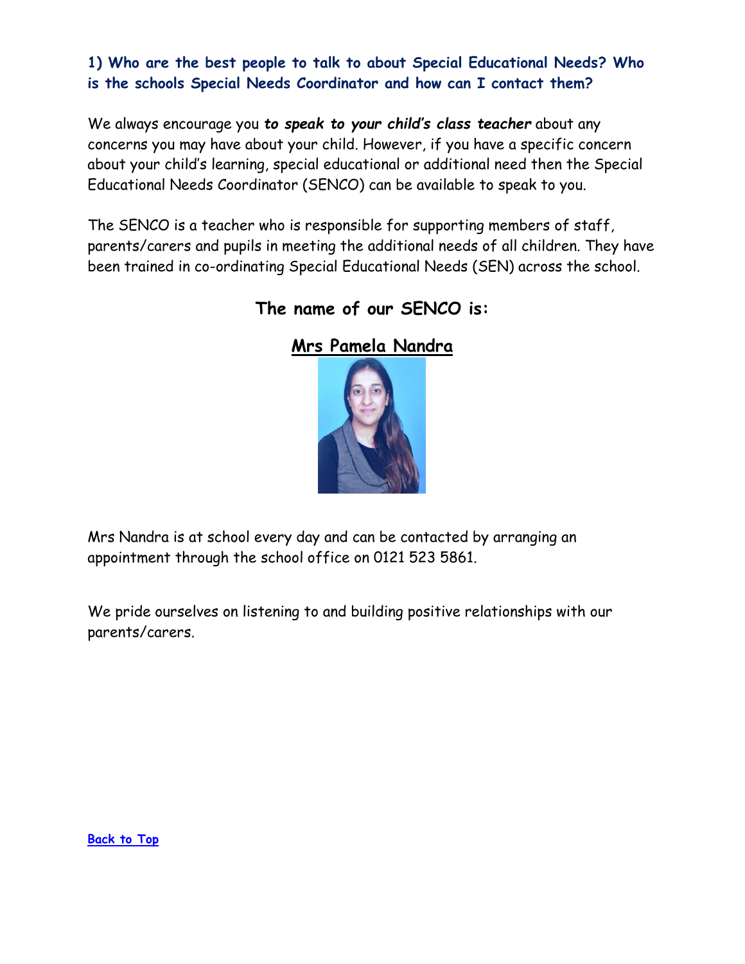**1) Who are the best people to talk to about Special Educational Needs? Who is the schools Special Needs Coordinator and how can I contact them?**

<span id="page-1-0"></span>We always encourage you *to speak to your child's class teacher* about any concerns you may have about your child. However, if you have a specific concern about your child's learning, special educational or additional need then the Special Educational Needs Coordinator (SENCO) can be available to speak to you.

The SENCO is a teacher who is responsible for supporting members of staff, parents/carers and pupils in meeting the additional needs of all children. They have been trained in co-ordinating Special Educational Needs (SEN) across the school.



**The name of our SENCO is:**

Mrs Nandra is at school every day and can be contacted by arranging an appointment through the school office on 0121 523 5861.

We pride ourselves on listening to and building positive relationships with our parents/carers.

**[Back to Top](#page-0-0)**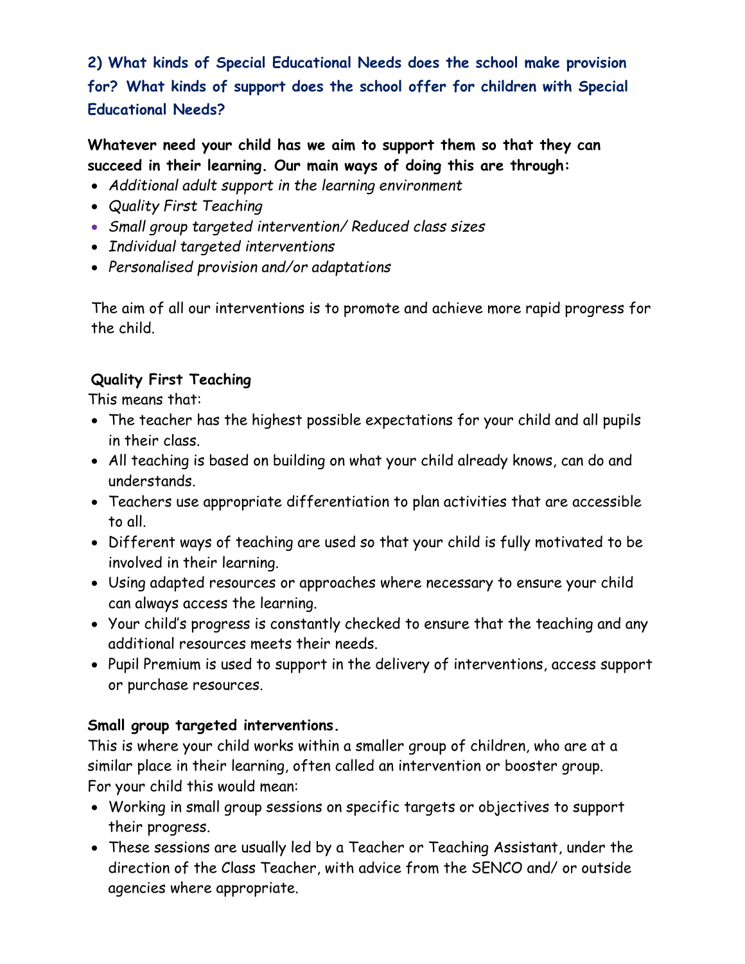## <span id="page-2-0"></span>**2) What kinds of Special Educational Needs does the school make provision for? What kinds of support does the school offer for children with Special Educational Needs?**

**Whatever need your child has we aim to support them so that they can succeed in their learning. Our main ways of doing this are through:** 

- *Additional adult support in the learning environment*
- *Quality First Teaching*
- *Small group targeted intervention/ Reduced class sizes*
- *Individual targeted interventions*
- *Personalised provision and/or adaptations*

The aim of all our interventions is to promote and achieve more rapid progress for the child.

### **Quality First Teaching**

This means that:

- The teacher has the highest possible expectations for your child and all pupils in their class.
- All teaching is based on building on what your child already knows, can do and understands.
- Teachers use appropriate differentiation to plan activities that are accessible to all.
- Different ways of teaching are used so that your child is fully motivated to be involved in their learning.
- Using adapted resources or approaches where necessary to ensure your child can always access the learning.
- Your child's progress is constantly checked to ensure that the teaching and any additional resources meets their needs.
- Pupil Premium is used to support in the delivery of interventions, access support or purchase resources.

#### **Small group targeted interventions.**

This is where your child works within a smaller group of children, who are at a similar place in their learning, often called an intervention or booster group. For your child this would mean:

- Working in small group sessions on specific targets or objectives to support their progress.
- These sessions are usually led by a Teacher or Teaching Assistant, under the direction of the Class Teacher, with advice from the SENCO and/ or outside agencies where appropriate.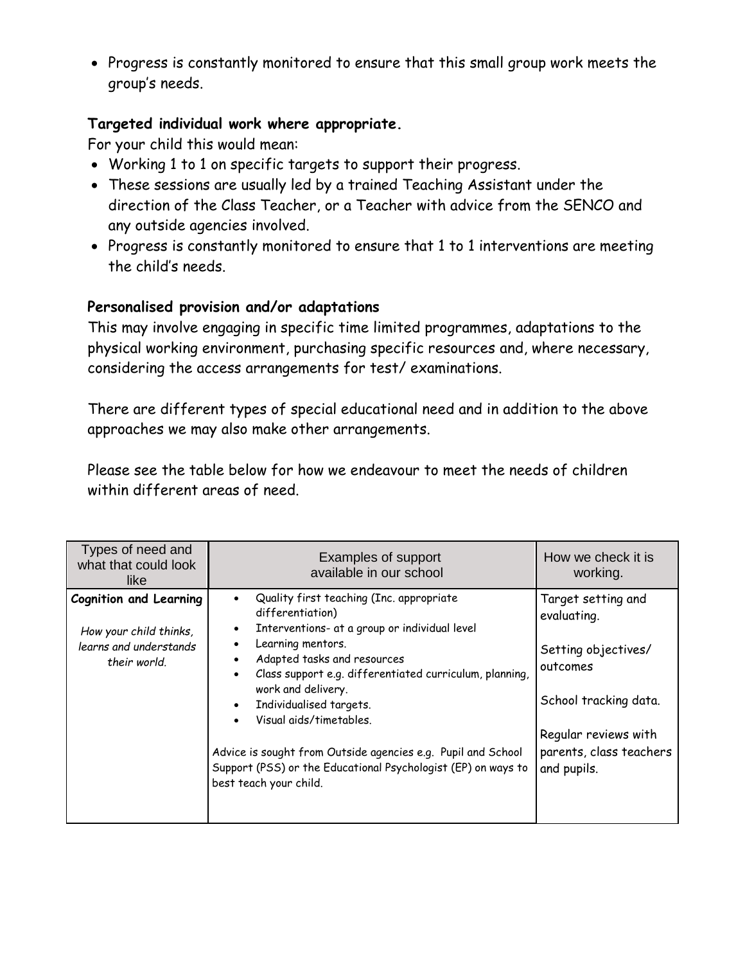• Progress is constantly monitored to ensure that this small group work meets the group's needs.

### **Targeted individual work where appropriate.**

For your child this would mean:

- Working 1 to 1 on specific targets to support their progress.
- These sessions are usually led by a trained Teaching Assistant under the direction of the Class Teacher, or a Teacher with advice from the SENCO and any outside agencies involved.
- Progress is constantly monitored to ensure that 1 to 1 interventions are meeting the child's needs.

### **Personalised provision and/or adaptations**

This may involve engaging in specific time limited programmes, adaptations to the physical working environment, purchasing specific resources and, where necessary, considering the access arrangements for test/ examinations.

There are different types of special educational need and in addition to the above approaches we may also make other arrangements.

Please see the table below for how we endeavour to meet the needs of children within different areas of need.

| Types of need and<br>what that could look<br>like                                                 | Examples of support<br>available in our school                                                                                                                                                                                                                                                                                                                                                                                                                                   | How we check it is<br>working.                                                                                                                                  |
|---------------------------------------------------------------------------------------------------|----------------------------------------------------------------------------------------------------------------------------------------------------------------------------------------------------------------------------------------------------------------------------------------------------------------------------------------------------------------------------------------------------------------------------------------------------------------------------------|-----------------------------------------------------------------------------------------------------------------------------------------------------------------|
| <b>Cognition and Learning</b><br>How your child thinks,<br>learns and understands<br>their world. | Quality first teaching (Inc. appropriate<br>differentiation)<br>Interventions- at a group or individual level<br>Learning mentors.<br>Adapted tasks and resources<br>Class support e.g. differentiated curriculum, planning,<br>work and delivery.<br>Individualised targets.<br>$\bullet$<br>Visual aids/timetables.<br>Advice is sought from Outside agencies e.g. Pupil and School<br>Support (PSS) or the Educational Psychologist (EP) on ways to<br>best teach your child. | Target setting and<br>evaluating.<br>Setting objectives/<br>outcomes<br>School tracking data.<br>Regular reviews with<br>parents, class teachers<br>and pupils. |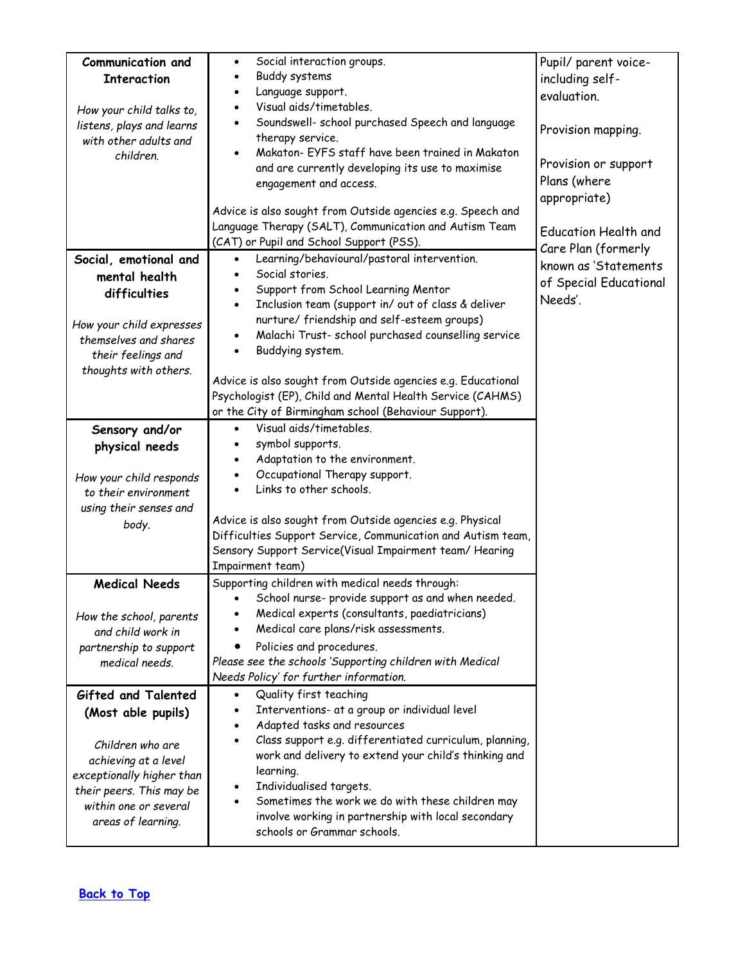| Communication and                                     | Social interaction groups.<br>$\bullet$                                               | Pupil/ parent voice-        |
|-------------------------------------------------------|---------------------------------------------------------------------------------------|-----------------------------|
| <b>Interaction</b>                                    | Buddy systems<br>$\bullet$                                                            | including self-             |
|                                                       | Language support.<br>$\bullet$                                                        | evaluation.                 |
| How your child talks to,                              | Visual aids/timetables.<br>$\bullet$                                                  |                             |
| listens, plays and learns                             | Soundswell- school purchased Speech and language<br>$\bullet$                         | Provision mapping.          |
| with other adults and                                 | therapy service.                                                                      |                             |
| children.                                             | Makaton- EYFS staff have been trained in Makaton                                      |                             |
|                                                       | and are currently developing its use to maximise                                      | Provision or support        |
|                                                       | engagement and access.                                                                | Plans (where                |
|                                                       | Advice is also sought from Outside agencies e.g. Speech and                           | appropriate)                |
|                                                       | Language Therapy (SALT), Communication and Autism Team                                |                             |
|                                                       | (CAT) or Pupil and School Support (PSS).                                              | <b>Education Health and</b> |
|                                                       | Learning/behavioural/pastoral intervention.<br>$\bullet$                              | Care Plan (formerly         |
| Social, emotional and                                 | Social stories.<br>$\bullet$                                                          | known as 'Statements        |
| mental health                                         | Support from School Learning Mentor                                                   | of Special Educational      |
| difficulties                                          | Inclusion team (support in/ out of class & deliver<br>$\bullet$                       | Needs'.                     |
|                                                       | nurture/ friendship and self-esteem groups)                                           |                             |
| How your child expresses<br>themselves and shares     | Malachi Trust- school purchased counselling service                                   |                             |
|                                                       | Buddying system.<br>$\bullet$                                                         |                             |
| their feelings and<br>thoughts with others.           |                                                                                       |                             |
|                                                       | Advice is also sought from Outside agencies e.g. Educational                          |                             |
|                                                       | Psychologist (EP), Child and Mental Health Service (CAHMS)                            |                             |
|                                                       | or the City of Birmingham school (Behaviour Support).                                 |                             |
| Sensory and/or                                        | Visual aids/timetables.<br>$\bullet$                                                  |                             |
| physical needs                                        | symbol supports.                                                                      |                             |
|                                                       | Adaptation to the environment.                                                        |                             |
| How your child responds                               | Occupational Therapy support.                                                         |                             |
| to their environment                                  | Links to other schools.<br>$\bullet$                                                  |                             |
| using their senses and                                |                                                                                       |                             |
| body.                                                 | Advice is also sought from Outside agencies e.g. Physical                             |                             |
|                                                       | Difficulties Support Service, Communication and Autism team,                          |                             |
|                                                       | Sensory Support Service(Visual Impairment team/ Hearing                               |                             |
|                                                       | Impairment team)                                                                      |                             |
| <b>Medical Needs</b>                                  | Supporting children with medical needs through:                                       |                             |
|                                                       | · School nurse- provide support as and when needed.                                   |                             |
| How the school, parents                               | Medical experts (consultants, paediatricians)<br>Medical care plans/risk assessments. |                             |
| and child work in                                     | Policies and procedures.                                                              |                             |
| partnership to support<br>medical needs.              | Please see the schools 'Supporting children with Medical                              |                             |
|                                                       | Needs Policy' for further information.                                                |                             |
| Gifted and Talented                                   | Quality first teaching                                                                |                             |
|                                                       | Interventions- at a group or individual level                                         |                             |
| (Most able pupils)                                    | Adapted tasks and resources                                                           |                             |
|                                                       | Class support e.g. differentiated curriculum, planning,                               |                             |
| Children who are                                      | work and delivery to extend your child's thinking and                                 |                             |
| achieving at a level                                  | learning.                                                                             |                             |
| exceptionally higher than<br>their peers. This may be | Individualised targets.                                                               |                             |
| within one or several                                 | Sometimes the work we do with these children may<br>$\bullet$                         |                             |
| areas of learning.                                    | involve working in partnership with local secondary                                   |                             |
|                                                       | schools or Grammar schools.                                                           |                             |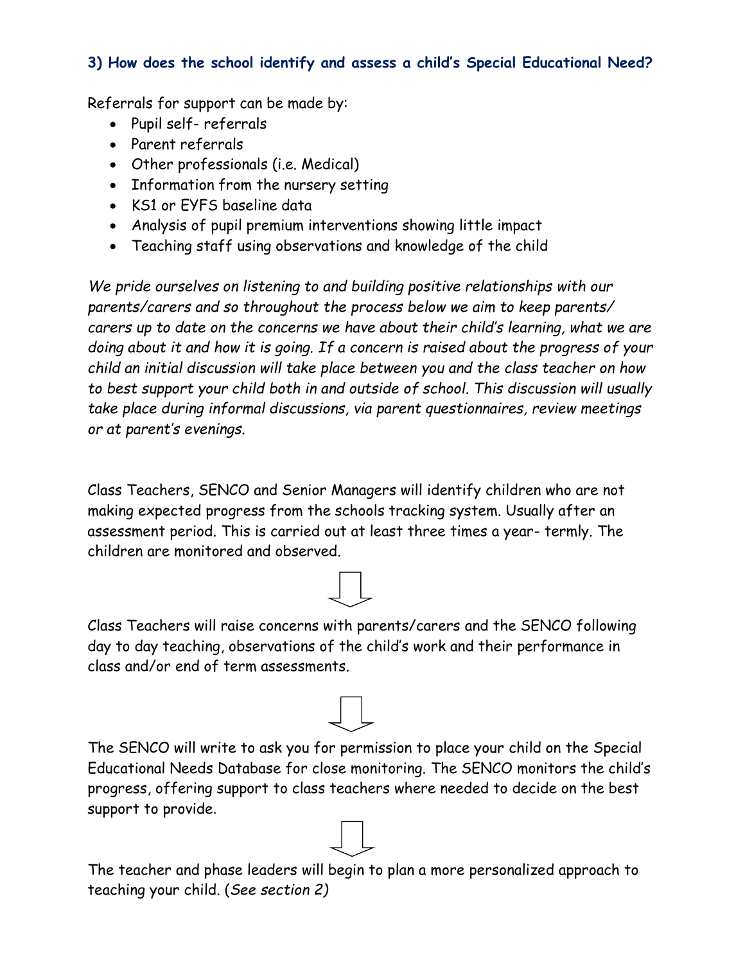### <span id="page-5-0"></span>**3) How does the school identify and assess a child's Special Educational Need?**

Referrals for support can be made by:

- Pupil self- referrals
- Parent referrals
- Other professionals (i.e. Medical)
- Information from the nursery setting
- KS1 or EYFS baseline data
- Analysis of pupil premium interventions showing little impact
- Teaching staff using observations and knowledge of the child

*We pride ourselves on listening to and building positive relationships with our parents/carers and so throughout the process below we aim to keep parents/ carers up to date on the concerns we have about their child's learning, what we are doing about it and how it is going. If a concern is raised about the progress of your child an initial discussion will take place between you and the class teacher on how to best support your child both in and outside of school. This discussion will usually take place during informal discussions, via parent questionnaires, review meetings or at parent's evenings.* 

Class Teachers, SENCO and Senior Managers will identify children who are not making expected progress from the schools tracking system. Usually after an assessment period. This is carried out at least three times a year- termly. The children are monitored and observed.



Class Teachers will raise concerns with parents/carers and the SENCO following day to day teaching, observations of the child's work and their performance in class and/or end of term assessments.



The teacher and phase leaders will begin to plan a more personalized approach to teaching your child. (*See section 2)*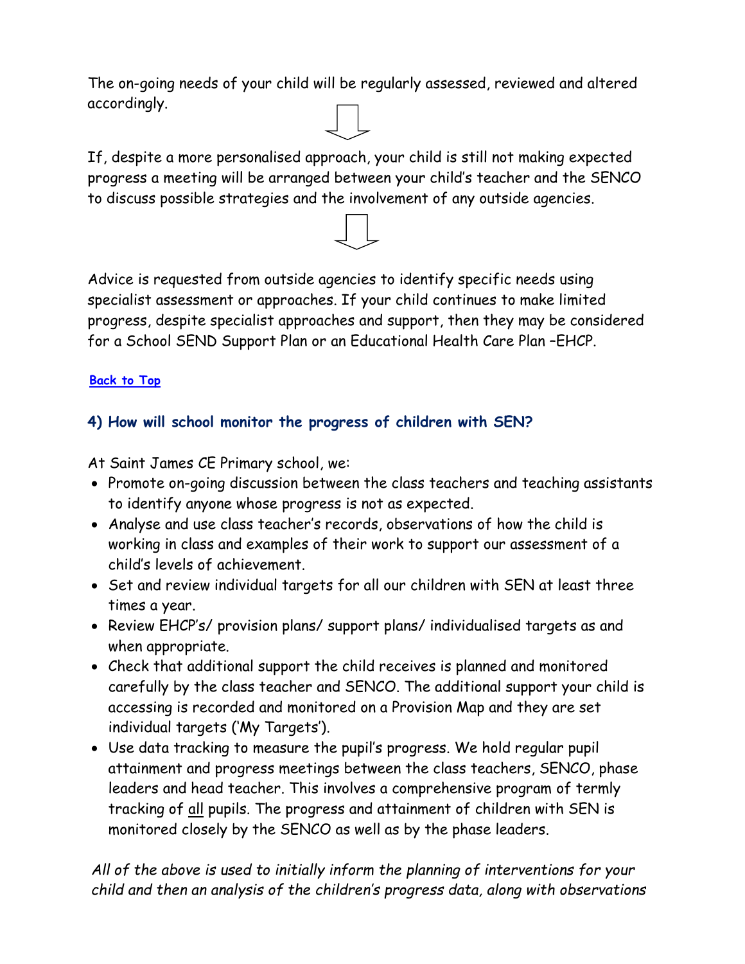The on-going needs of your child will be regularly assessed, reviewed and altered accordingly.

If, despite a more personalised approach, your child is still not making expected progress a meeting will be arranged between your child's teacher and the SENCO to discuss possible strategies and the involvement of any outside agencies.

Advice is requested from outside agencies to identify specific needs using specialist assessment or approaches. If your child continues to make limited progress, despite specialist approaches and support, then they may be considered for a School SEND Support Plan or an Educational Health Care Plan –EHCP.

### **[Back to Top](#page-0-0)**

### <span id="page-6-0"></span>**4) How will school monitor the progress of children with SEN?**

At Saint James CE Primary school, we:

- Promote on-going discussion between the class teachers and teaching assistants to identify anyone whose progress is not as expected.
- Analyse and use class teacher's records, observations of how the child is working in class and examples of their work to support our assessment of a child's levels of achievement.
- Set and review individual targets for all our children with SEN at least three times a year.
- Review EHCP's/ provision plans/ support plans/ individualised targets as and when appropriate.
- Check that additional support the child receives is planned and monitored carefully by the class teacher and SENCO. The additional support your child is accessing is recorded and monitored on a Provision Map and they are set individual targets ('My Targets').
- Use data tracking to measure the pupil's progress. We hold regular pupil attainment and progress meetings between the class teachers, SENCO, phase leaders and head teacher. This involves a comprehensive program of termly tracking of all pupils. The progress and attainment of children with SEN is monitored closely by the SENCO as well as by the phase leaders.

*All of the above is used to initially inform the planning of interventions for your child and then an analysis of the children's progress data, along with observations*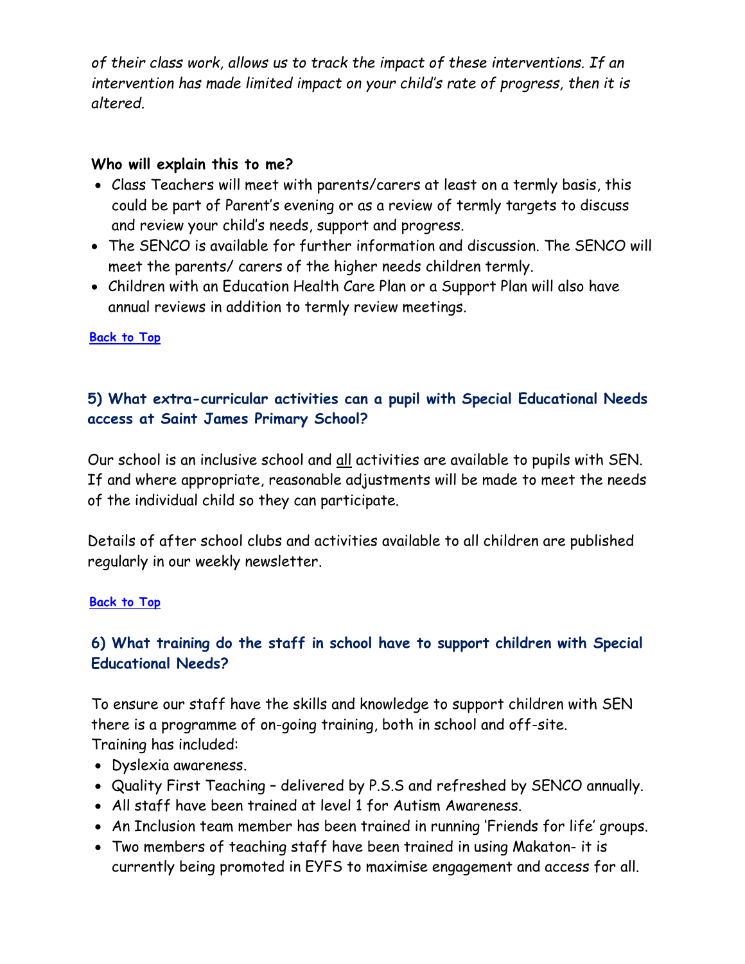*of their class work, allows us to track the impact of these interventions. If an intervention has made limited impact on your child's rate of progress, then it is altered.* 

#### **Who will explain this to me?**

- Class Teachers will meet with parents/carers at least on a termly basis, this could be part of Parent's evening or as a review of termly targets to discuss and review your child's needs, support and progress.
- The SENCO is available for further information and discussion. The SENCO will meet the parents/ carers of the higher needs children termly.
- Children with an Education Health Care Plan or a Support Plan will also have annual reviews in addition to termly review meetings.

#### <span id="page-7-0"></span>**[Back to Top](#page-0-0)**

### **5) What extra-curricular activities can a pupil with Special Educational Needs access at Saint James Primary School?**

Our school is an inclusive school and all activities are available to pupils with SEN. If and where appropriate, reasonable adjustments will be made to meet the needs of the individual child so they can participate.

Details of after school clubs and activities available to all children are published regularly in our weekly newsletter.

#### **[Back to Top](#page-0-0)**

### <span id="page-7-1"></span>**6) What training do the staff in school have to support children with Special Educational Needs?**

To ensure our staff have the skills and knowledge to support children with SEN there is a programme of on-going training, both in school and off-site. Training has included:

- Dyslexia awareness.
- Quality First Teaching delivered by P.S.S and refreshed by SENCO annually.
- All staff have been trained at level 1 for Autism Awareness.
- An Inclusion team member has been trained in running 'Friends for life' groups.
- Two members of teaching staff have been trained in using Makaton- it is currently being promoted in EYFS to maximise engagement and access for all.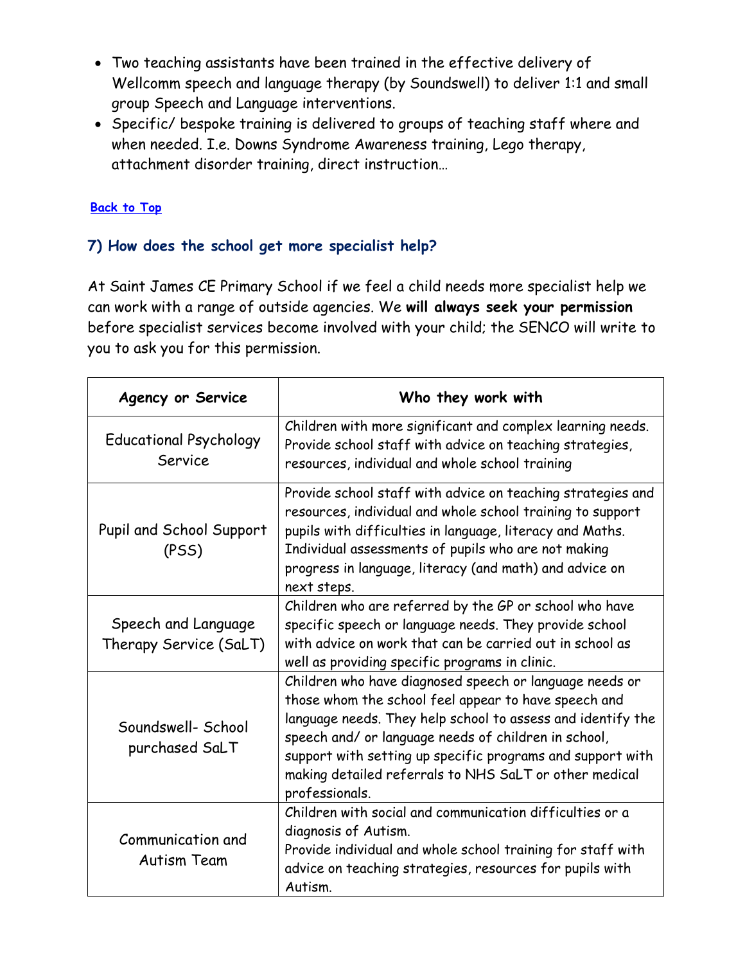- Two teaching assistants have been trained in the effective delivery of Wellcomm speech and language therapy (by Soundswell) to deliver 1:1 and small group Speech and Language interventions.
- Specific/ bespoke training is delivered to groups of teaching staff where and when needed. I.e. Downs Syndrome Awareness training, Lego therapy, attachment disorder training, direct instruction…

### **[Back to Top](#page-0-0)**

### <span id="page-8-0"></span>**7) How does the school get more specialist help?**

At Saint James CE Primary School if we feel a child needs more specialist help we can work with a range of outside agencies. We **will always seek your permission** before specialist services become involved with your child; the SENCO will write to you to ask you for this permission.

| <b>Agency or Service</b>                      | Who they work with                                                                                                                                                                                                                                                                                                                                                               |
|-----------------------------------------------|----------------------------------------------------------------------------------------------------------------------------------------------------------------------------------------------------------------------------------------------------------------------------------------------------------------------------------------------------------------------------------|
| <b>Educational Psychology</b><br>Service      | Children with more significant and complex learning needs.<br>Provide school staff with advice on teaching strategies,<br>resources, individual and whole school training                                                                                                                                                                                                        |
| Pupil and School Support<br>(PSS)             | Provide school staff with advice on teaching strategies and<br>resources, individual and whole school training to support<br>pupils with difficulties in language, literacy and Maths.<br>Individual assessments of pupils who are not making<br>progress in language, literacy (and math) and advice on<br>next steps.                                                          |
| Speech and Language<br>Therapy Service (SaLT) | Children who are referred by the GP or school who have<br>specific speech or language needs. They provide school<br>with advice on work that can be carried out in school as<br>well as providing specific programs in clinic.                                                                                                                                                   |
| Soundswell- School<br>purchased SaLT          | Children who have diagnosed speech or language needs or<br>those whom the school feel appear to have speech and<br>language needs. They help school to assess and identify the<br>speech and/ or language needs of children in school,<br>support with setting up specific programs and support with<br>making detailed referrals to NHS SaLT or other medical<br>professionals. |
| Communication and<br>Autism Team              | Children with social and communication difficulties or a<br>diagnosis of Autism.<br>Provide individual and whole school training for staff with<br>advice on teaching strategies, resources for pupils with<br>Autism.                                                                                                                                                           |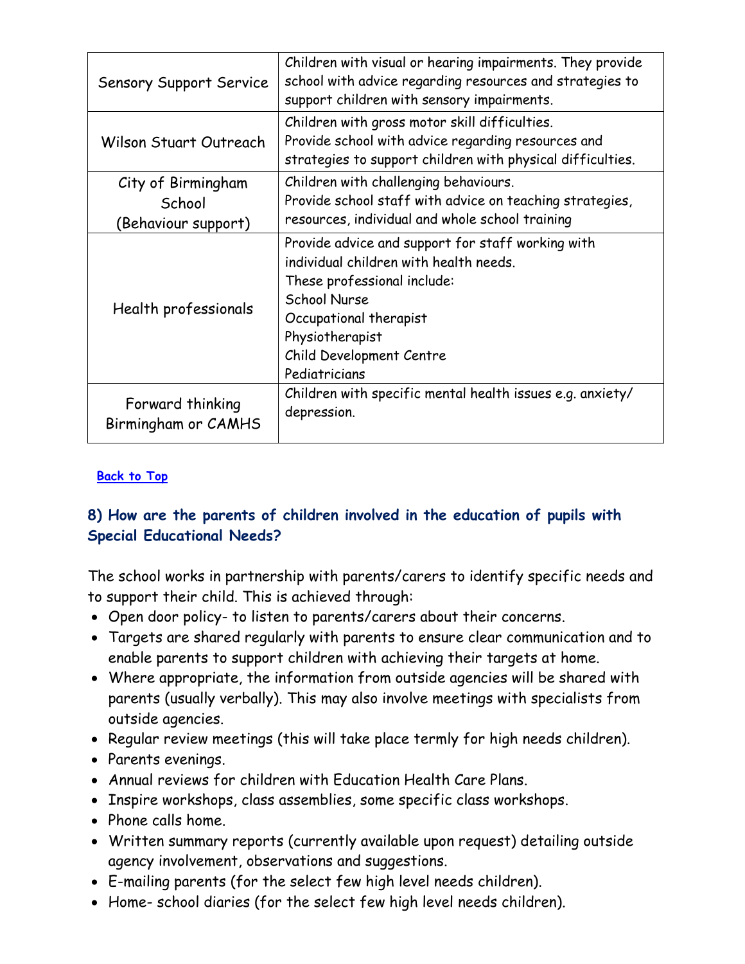| <b>Sensory Support Service</b>          | Children with visual or hearing impairments. They provide<br>school with advice regarding resources and strategies to<br>support children with sensory impairments.                                                                  |
|-----------------------------------------|--------------------------------------------------------------------------------------------------------------------------------------------------------------------------------------------------------------------------------------|
| Wilson Stuart Outreach                  | Children with gross motor skill difficulties.<br>Provide school with advice regarding resources and<br>strategies to support children with physical difficulties.                                                                    |
| City of Birmingham                      | Children with challenging behaviours.                                                                                                                                                                                                |
| School                                  | Provide school staff with advice on teaching strategies,                                                                                                                                                                             |
| (Behaviour support)                     | resources, individual and whole school training                                                                                                                                                                                      |
| Health professionals                    | Provide advice and support for staff working with<br>individual children with health needs.<br>These professional include:<br>School Nurse<br>Occupational therapist<br>Physiotherapist<br>Child Development Centre<br>Pediatricians |
| Forward thinking<br>Birmingham or CAMHS | Children with specific mental health issues e.g. anxiety/<br>depression.                                                                                                                                                             |

#### **[Back to Top](#page-0-0)**

### <span id="page-9-0"></span>**8) How are the parents of children involved in the education of pupils with Special Educational Needs?**

The school works in partnership with parents/carers to identify specific needs and to support their child. This is achieved through:

- Open door policy- to listen to parents/carers about their concerns.
- Targets are shared regularly with parents to ensure clear communication and to enable parents to support children with achieving their targets at home.
- Where appropriate, the information from outside agencies will be shared with parents (usually verbally). This may also involve meetings with specialists from outside agencies.
- Regular review meetings (this will take place termly for high needs children).
- Parents evenings.
- Annual reviews for children with Education Health Care Plans.
- Inspire workshops, class assemblies, some specific class workshops.
- Phone calls home.
- Written summary reports (currently available upon request) detailing outside agency involvement, observations and suggestions.
- E-mailing parents (for the select few high level needs children).
- Home- school diaries (for the select few high level needs children).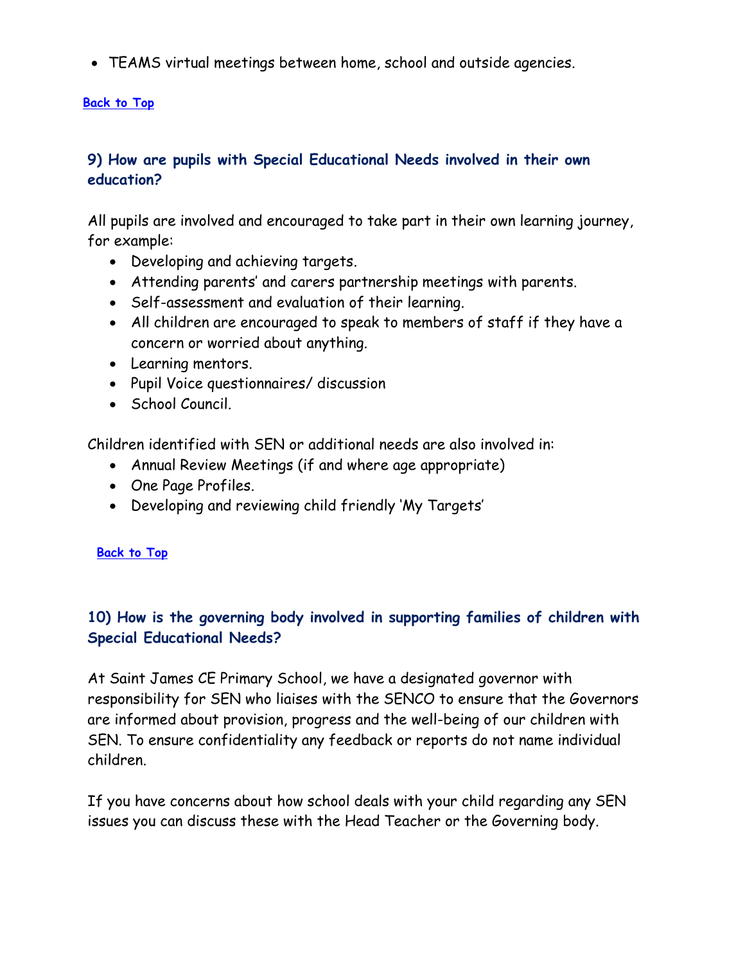TEAMS virtual meetings between home, school and outside agencies.

#### **[Back to Top](#page-0-0)**

### <span id="page-10-0"></span>**9) How are pupils with Special Educational Needs involved in their own education?**

All pupils are involved and encouraged to take part in their own learning journey, for example:

- Developing and achieving targets.
- Attending parents' and carers partnership meetings with parents.
- Self-assessment and evaluation of their learning.
- All children are encouraged to speak to members of staff if they have a concern or worried about anything.
- Learning mentors.
- Pupil Voice questionnaires/ discussion
- School Council.

Children identified with SEN or additional needs are also involved in:

- Annual Review Meetings (if and where age appropriate)
- One Page Profiles.
- Developing and reviewing child friendly 'My Targets'

#### **[Back to Top](#page-0-0)**

### <span id="page-10-1"></span>**10) How is the governing body involved in supporting families of children with Special Educational Needs?**

At Saint James CE Primary School, we have a designated governor with responsibility for SEN who liaises with the SENCO to ensure that the Governors are informed about provision, progress and the well-being of our children with SEN. To ensure confidentiality any feedback or reports do not name individual children.

If you have concerns about how school deals with your child regarding any SEN issues you can discuss these with the Head Teacher or the Governing body.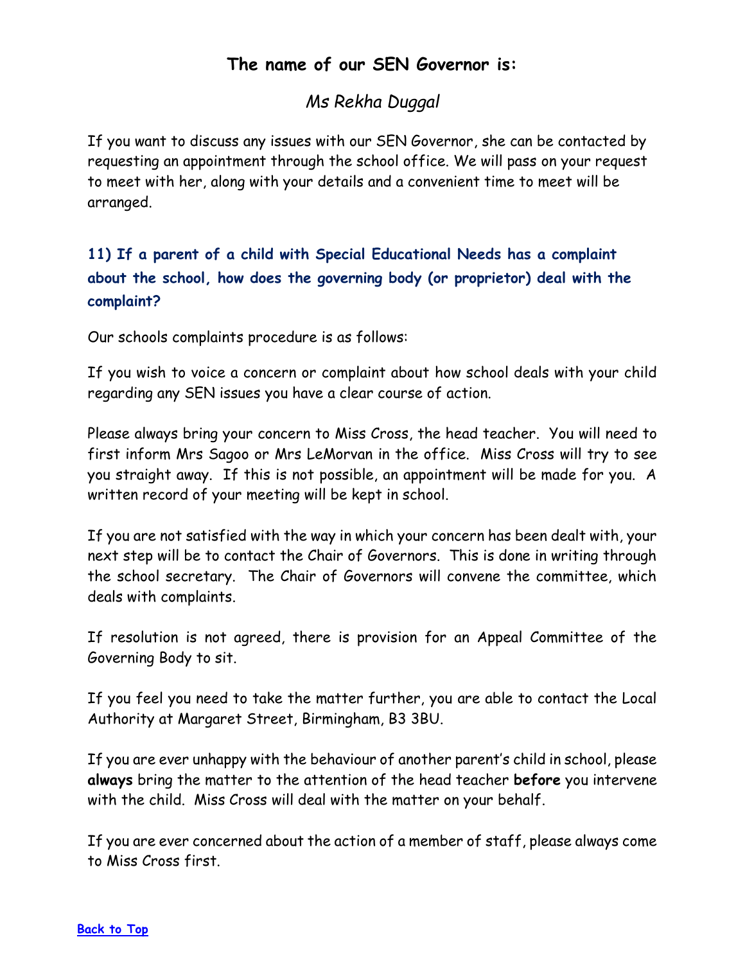## **The name of our SEN Governor is:**

## *Ms Rekha Duggal*

If you want to discuss any issues with our SEN Governor, she can be contacted by requesting an appointment through the school office. We will pass on your request to meet with her, along with your details and a convenient time to meet will be arranged.

## <span id="page-11-0"></span>**11) If a parent of a child with Special Educational Needs has a complaint about the school, how does the governing body (or proprietor) deal with the complaint?**

Our schools complaints procedure is as follows:

If you wish to voice a concern or complaint about how school deals with your child regarding any SEN issues you have a clear course of action.

Please always bring your concern to Miss Cross, the head teacher. You will need to first inform Mrs Sagoo or Mrs LeMorvan in the office. Miss Cross will try to see you straight away. If this is not possible, an appointment will be made for you. A written record of your meeting will be kept in school.

If you are not satisfied with the way in which your concern has been dealt with, your next step will be to contact the Chair of Governors. This is done in writing through the school secretary. The Chair of Governors will convene the committee, which deals with complaints.

If resolution is not agreed, there is provision for an Appeal Committee of the Governing Body to sit.

If you feel you need to take the matter further, you are able to contact the Local Authority at Margaret Street, Birmingham, B3 3BU.

If you are ever unhappy with the behaviour of another parent's child in school, please **always** bring the matter to the attention of the head teacher **before** you intervene with the child. Miss Cross will deal with the matter on your behalf.

If you are ever concerned about the action of a member of staff, please always come to Miss Cross first.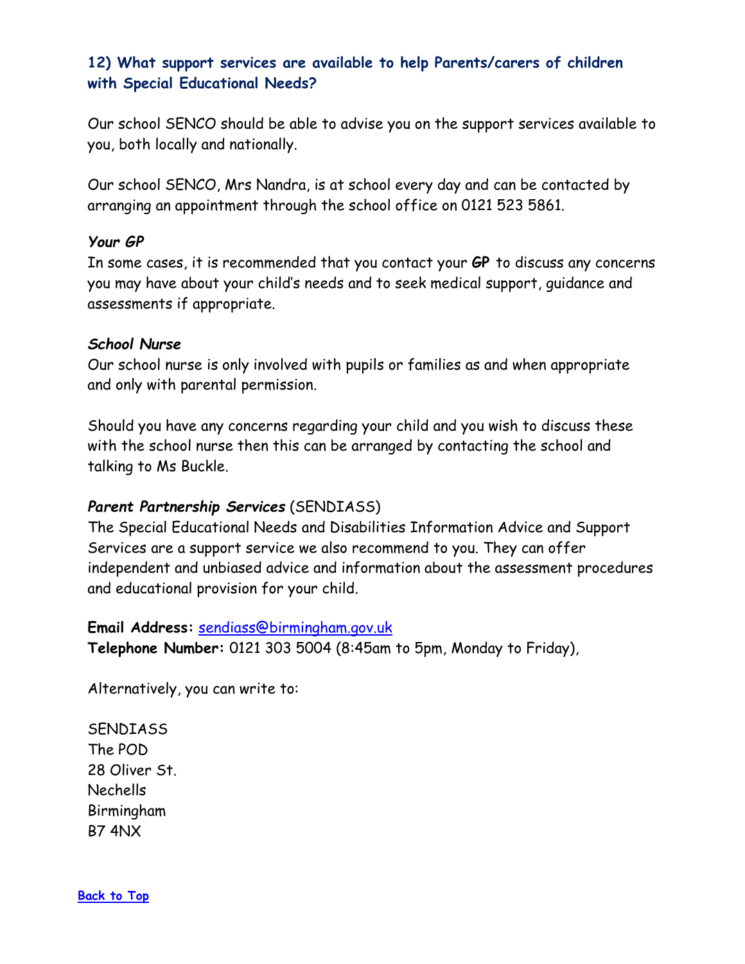### <span id="page-12-0"></span>**12) What support services are available to help Parents/carers of children with Special Educational Needs?**

Our school SENCO should be able to advise you on the support services available to you, both locally and nationally.

Our school SENCO, Mrs Nandra, is at school every day and can be contacted by arranging an appointment through the school office on 0121 523 5861.

#### *Your GP*

In some cases, it is recommended that you contact your **GP** to discuss any concerns you may have about your child's needs and to seek medical support, guidance and assessments if appropriate.

#### *School Nurse*

Our school nurse is only involved with pupils or families as and when appropriate and only with parental permission.

Should you have any concerns regarding your child and you wish to discuss these with the school nurse then this can be arranged by contacting the school and talking to Ms Buckle.

### *Parent Partnership Services* (SENDIASS)

The Special Educational Needs and Disabilities Information Advice and Support Services are a support service we also recommend to you. They can offer independent and unbiased advice and information about the assessment procedures and educational provision for your child.

#### **Email Address:** [sendiass@birmingham.gov.uk](mailto:sendiass@birmingham.gov.uk)

**Telephone Number:** 0121 303 5004 (8:45am to 5pm, Monday to Friday),

Alternatively, you can write to:

**SENDIASS** The POD 28 Oliver St. Nechells Birmingham B7 4NX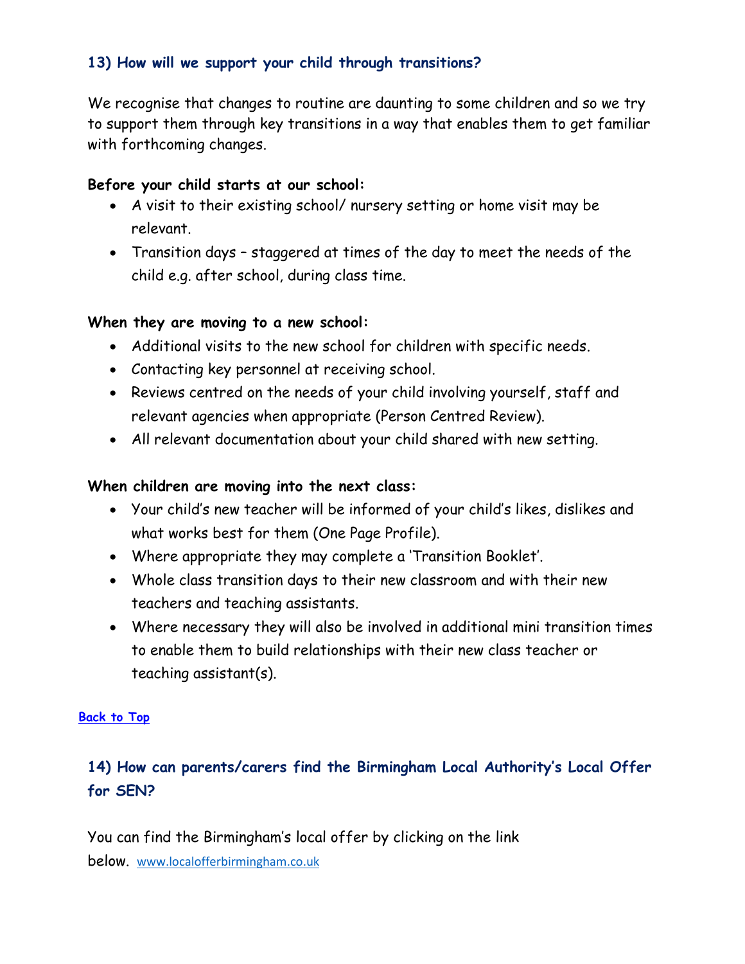### <span id="page-13-0"></span>**13) How will we support your child through transitions?**

We recognise that changes to routine are daunting to some children and so we try to support them through key transitions in a way that enables them to get familiar with forthcoming changes.

### **Before your child starts at our school:**

- A visit to their existing school/ nursery setting or home visit may be relevant.
- Transition days staggered at times of the day to meet the needs of the child e.g. after school, during class time.

### **When they are moving to a new school:**

- Additional visits to the new school for children with specific needs.
- Contacting key personnel at receiving school.
- Reviews centred on the needs of your child involving yourself, staff and relevant agencies when appropriate (Person Centred Review).
- All relevant documentation about your child shared with new setting.

### **When children are moving into the next class:**

- Your child's new teacher will be informed of your child's likes, dislikes and what works best for them (One Page Profile).
- Where appropriate they may complete a 'Transition Booklet'.
- Whole class transition days to their new classroom and with their new teachers and teaching assistants.
- Where necessary they will also be involved in additional mini transition times to enable them to build relationships with their new class teacher or teaching assistant(s).

#### **[Back to Top](#page-0-0)**

## <span id="page-13-1"></span>**14) How can parents/carers find the Birmingham Local Authority's Local Offer for SEN?**

You can find the Birmingham's local offer by clicking on the link below. [www.localofferbirmingham.co.uk](https://eur01.safelinks.protection.outlook.com/?url=http%3A%2F%2Fwww.localofferbirmingham.co.uk%2F&data=04%7C01%7CKerrie.Green%40birmingham.gov.uk%7Cf09f048781d24dcb1d0408da1681797a%7C699ace67d2e44bcdb303d2bbe2b9bbf1%7C0%7C0%7C637847042582671631%7CUnknown%7CTWFpbGZsb3d8eyJWIjoiMC4wLjAwMDAiLCJQIjoiV2luMzIiLCJBTiI6Ik1haWwiLCJXVCI6Mn0%3D%7C3000&sdata=%2BExOW7Z2vNCD4TqTDN6xGchG5tQ7FmoNanTZYa9kxhw%3D&reserved=0)